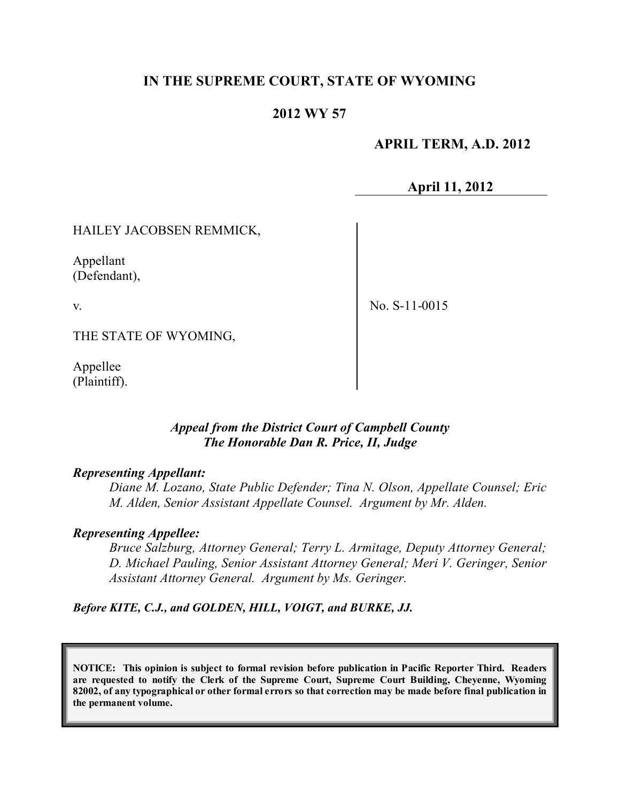## **IN THE SUPREME COURT, STATE OF WYOMING**

## **2012 WY 57**

## **APRIL TERM, A.D. 2012**

**April 11, 2012**

#### HAILEY JACOBSEN REMMICK,

Appellant (Defendant),

v.

No. S-11-0015

THE STATE OF WYOMING,

Appellee (Plaintiff).

#### *Appeal from the District Court of Campbell County The Honorable Dan R. Price, II, Judge*

#### *Representing Appellant:*

*Diane M. Lozano, State Public Defender; Tina N. Olson, Appellate Counsel; Eric M. Alden, Senior Assistant Appellate Counsel. Argument by Mr. Alden.*

#### *Representing Appellee:*

*Bruce Salzburg, Attorney General; Terry L. Armitage, Deputy Attorney General; D. Michael Pauling, Senior Assistant Attorney General; Meri V. Geringer, Senior Assistant Attorney General. Argument by Ms. Geringer.*

*Before KITE, C.J., and GOLDEN, HILL, VOIGT, and BURKE, JJ.*

**NOTICE: This opinion is subject to formal revision before publication in Pacific Reporter Third. Readers are requested to notify the Clerk of the Supreme Court, Supreme Court Building, Cheyenne, Wyoming** 82002, of any typographical or other formal errors so that correction may be made before final publication in **the permanent volume.**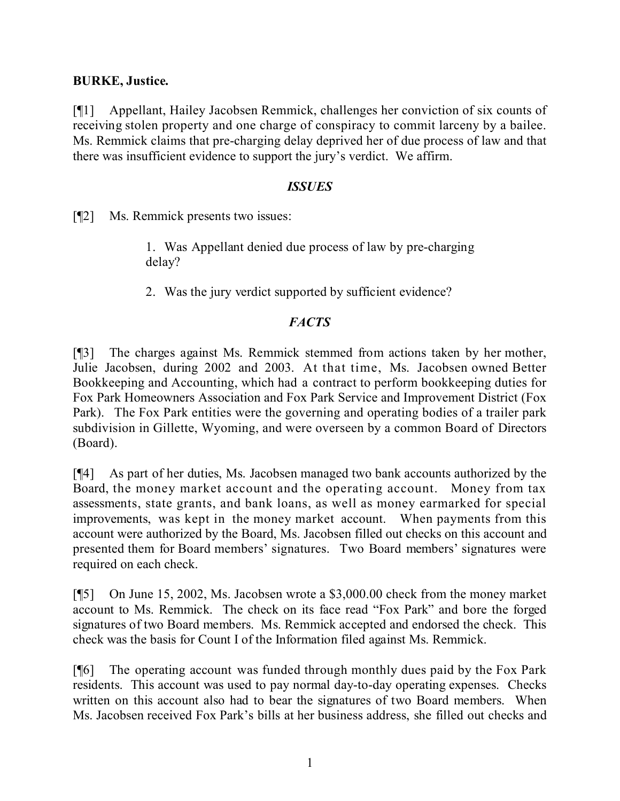### **BURKE, Justice.**

[¶1] Appellant, Hailey Jacobsen Remmick, challenges her conviction of six counts of receiving stolen property and one charge of conspiracy to commit larceny by a bailee. Ms. Remmick claims that pre-charging delay deprived her of due process of law and that there was insufficient evidence to support the jury's verdict. We affirm.

### *ISSUES*

[¶2] Ms. Remmick presents two issues:

1. Was Appellant denied due process of law by pre-charging delay?

2. Was the jury verdict supported by sufficient evidence?

# *FACTS*

[¶3] The charges against Ms. Remmick stemmed from actions taken by her mother, Julie Jacobsen, during 2002 and 2003. At that time, Ms. Jacobsen owned Better Bookkeeping and Accounting, which had a contract to perform bookkeeping duties for Fox Park Homeowners Association and Fox Park Service and Improvement District (Fox Park). The Fox Park entities were the governing and operating bodies of a trailer park subdivision in Gillette, Wyoming, and were overseen by a common Board of Directors (Board).

[¶4] As part of her duties, Ms. Jacobsen managed two bank accounts authorized by the Board, the money market account and the operating account. Money from tax assessments, state grants, and bank loans, as well as money earmarked for special improvements, was kept in the money market account. When payments from this account were authorized by the Board, Ms. Jacobsen filled out checks on this account and presented them for Board members' signatures. Two Board members' signatures were required on each check.

[¶5] On June 15, 2002, Ms. Jacobsen wrote a \$3,000.00 check from the money market account to Ms. Remmick. The check on its face read "Fox Park" and bore the forged signatures of two Board members. Ms. Remmick accepted and endorsed the check. This check was the basis for Count I of the Information filed against Ms. Remmick.

[¶6] The operating account was funded through monthly dues paid by the Fox Park residents. This account was used to pay normal day-to-day operating expenses. Checks written on this account also had to bear the signatures of two Board members. When Ms. Jacobsen received Fox Park's bills at her business address, she filled out checks and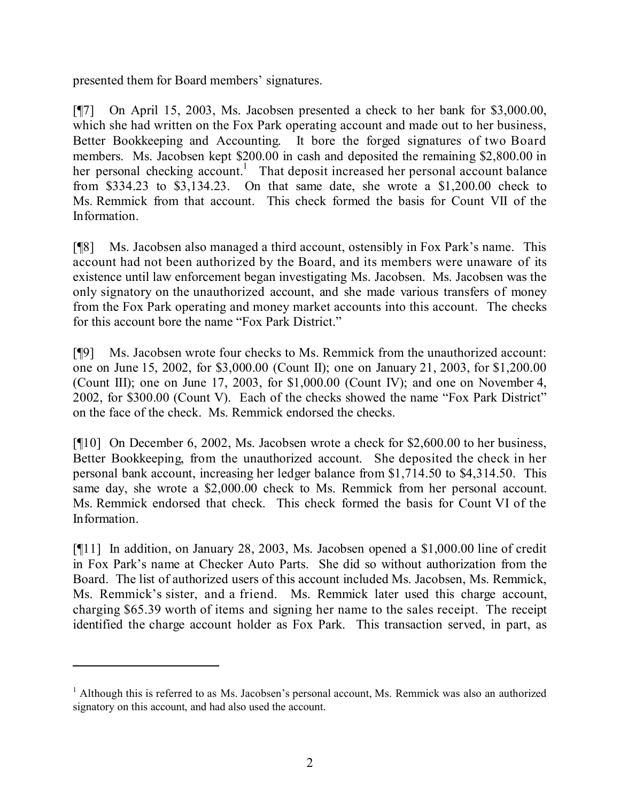presented them for Board members' signatures.

[¶7] On April 15, 2003, Ms. Jacobsen presented a check to her bank for \$3,000.00, which she had written on the Fox Park operating account and made out to her business, Better Bookkeeping and Accounting. It bore the forged signatures of two Board members. Ms. Jacobsen kept \$200.00 in cash and deposited the remaining \$2,800.00 in her personal checking account.<sup>1</sup> That deposit increased her personal account balance from \$334.23 to \$3,134.23. On that same date, she wrote a \$1,200.00 check to Ms. Remmick from that account. This check formed the basis for Count VII of the Information.

[¶8] Ms. Jacobsen also managed a third account, ostensibly in Fox Park's name. This account had not been authorized by the Board, and its members were unaware of its existence until law enforcement began investigating Ms. Jacobsen. Ms. Jacobsen was the only signatory on the unauthorized account, and she made various transfers of money from the Fox Park operating and money market accounts into this account. The checks for this account bore the name "Fox Park District."

[¶9] Ms. Jacobsen wrote four checks to Ms. Remmick from the unauthorized account: one on June 15, 2002, for \$3,000.00 (Count II); one on January 21, 2003, for \$1,200.00 (Count III); one on June 17, 2003, for \$1,000.00 (Count IV); and one on November 4, 2002, for \$300.00 (Count V). Each of the checks showed the name "Fox Park District" on the face of the check. Ms. Remmick endorsed the checks.

[¶10] On December 6, 2002, Ms. Jacobsen wrote a check for \$2,600.00 to her business, Better Bookkeeping, from the unauthorized account. She deposited the check in her personal bank account, increasing her ledger balance from \$1,714.50 to \$4,314.50. This same day, she wrote a \$2,000.00 check to Ms. Remmick from her personal account. Ms. Remmick endorsed that check. This check formed the basis for Count VI of the Information.

[¶11] In addition, on January 28, 2003, Ms. Jacobsen opened a \$1,000.00 line of credit in Fox Park's name at Checker Auto Parts. She did so without authorization from the Board. The list of authorized users of this account included Ms. Jacobsen, Ms. Remmick, Ms. Remmick's sister, and a friend. Ms. Remmick later used this charge account, charging \$65.39 worth of items and signing her name to the sales receipt. The receipt identified the charge account holder as Fox Park. This transaction served, in part, as

 $<sup>1</sup>$  Although this is referred to as Ms. Jacobsen's personal account, Ms. Remmick was also an authorized</sup> signatory on this account, and had also used the account.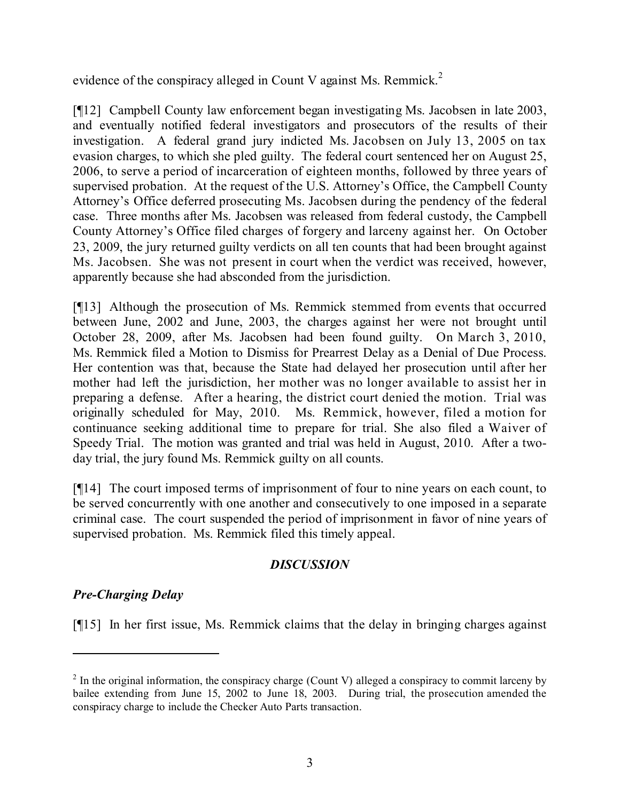evidence of the conspiracy alleged in Count V against Ms. Remmick.<sup>2</sup>

[¶12] Campbell County law enforcement began investigating Ms. Jacobsen in late 2003, and eventually notified federal investigators and prosecutors of the results of their investigation. A federal grand jury indicted Ms. Jacobsen on July 13, 2005 on tax evasion charges, to which she pled guilty. The federal court sentenced her on August 25, 2006, to serve a period of incarceration of eighteen months, followed by three years of supervised probation. At the request of the U.S. Attorney's Office, the Campbell County Attorney's Office deferred prosecuting Ms. Jacobsen during the pendency of the federal case. Three months after Ms. Jacobsen was released from federal custody, the Campbell County Attorney's Office filed charges of forgery and larceny against her. On October 23, 2009, the jury returned guilty verdicts on all ten counts that had been brought against Ms. Jacobsen. She was not present in court when the verdict was received, however, apparently because she had absconded from the jurisdiction.

[¶13] Although the prosecution of Ms. Remmick stemmed from events that occurred between June, 2002 and June, 2003, the charges against her were not brought until October 28, 2009, after Ms. Jacobsen had been found guilty. On March 3, 2010, Ms. Remmick filed a Motion to Dismiss for Prearrest Delay as a Denial of Due Process. Her contention was that, because the State had delayed her prosecution until after her mother had left the jurisdiction, her mother was no longer available to assist her in preparing a defense. After a hearing, the district court denied the motion. Trial was originally scheduled for May, 2010. Ms. Remmick, however, filed a motion for continuance seeking additional time to prepare for trial. She also filed a Waiver of Speedy Trial. The motion was granted and trial was held in August, 2010. After a twoday trial, the jury found Ms. Remmick guilty on all counts.

[¶14] The court imposed terms of imprisonment of four to nine years on each count, to be served concurrently with one another and consecutively to one imposed in a separate criminal case. The court suspended the period of imprisonment in favor of nine years of supervised probation. Ms. Remmick filed this timely appeal.

# *DISCUSSION*

# *Pre-Charging Delay*

[¶15] In her first issue, Ms. Remmick claims that the delay in bringing charges against

 $2 \text{ In the original information, the conspiracy charge (Count V) alleged a conspiracy to commit larceny by }$ bailee extending from June 15, 2002 to June 18, 2003. During trial, the prosecution amended the conspiracy charge to include the Checker Auto Parts transaction.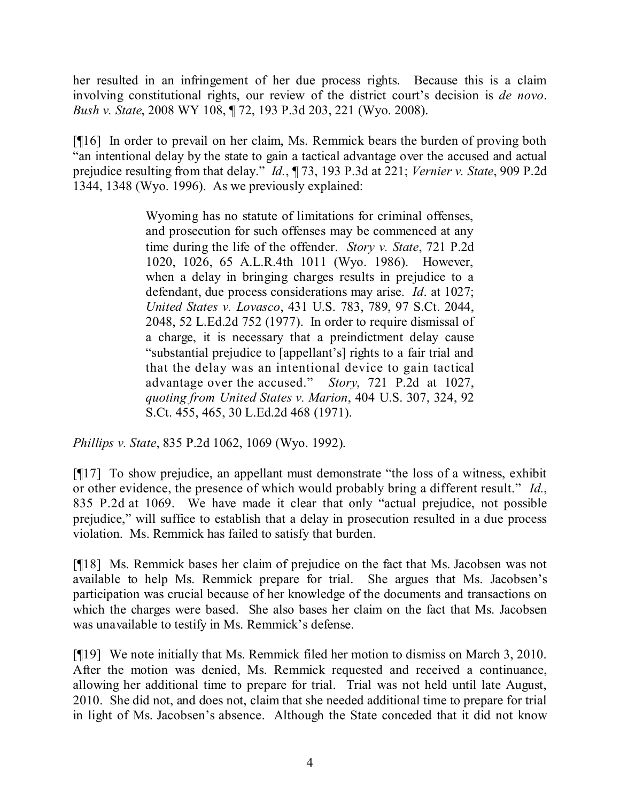her resulted in an infringement of her due process rights. Because this is a claim involving constitutional rights, our review of the district court's decision is *de novo*. *Bush v. State*, 2008 WY 108, ¶ 72, 193 P.3d 203, 221 (Wyo. 2008).

[¶16] In order to prevail on her claim, Ms. Remmick bears the burden of proving both "an intentional delay by the state to gain a tactical advantage over the accused and actual prejudice resulting from that delay." *Id.*, ¶ 73, 193 P.3d at 221; *Vernier v. State*, 909 P.2d 1344, 1348 (Wyo. 1996). As we previously explained:

> Wyoming has no statute of limitations for criminal offenses, and prosecution for such offenses may be commenced at any time during the life of the offender. *Story v. State*, 721 P.2d 1020, 1026, 65 A.L.R.4th 1011 (Wyo. 1986). However, when a delay in bringing charges results in prejudice to a defendant, due process considerations may arise. *Id*. at 1027; *United States v. Lovasco*, 431 U.S. 783, 789, 97 S.Ct. 2044, 2048, 52 L.Ed.2d 752 (1977). In order to require dismissal of a charge, it is necessary that a preindictment delay cause "substantial prejudice to [appellant's] rights to a fair trial and that the delay was an intentional device to gain tactical advantage over the accused." *Story*, 721 P.2d at 1027, *quoting from United States v. Marion*, 404 U.S. 307, 324, 92 S.Ct. 455, 465, 30 L.Ed.2d 468 (1971).

*Phillips v. State*, 835 P.2d 1062, 1069 (Wyo. 1992).

[¶17] To show prejudice, an appellant must demonstrate "the loss of a witness, exhibit or other evidence, the presence of which would probably bring a different result." *Id.*, 835 P.2d at 1069. We have made it clear that only "actual prejudice, not possible prejudice," will suffice to establish that a delay in prosecution resulted in a due process violation. Ms. Remmick has failed to satisfy that burden.

[¶18] Ms. Remmick bases her claim of prejudice on the fact that Ms. Jacobsen was not available to help Ms. Remmick prepare for trial. She argues that Ms. Jacobsen's participation was crucial because of her knowledge of the documents and transactions on which the charges were based. She also bases her claim on the fact that Ms. Jacobsen was unavailable to testify in Ms. Remmick's defense.

[¶19] We note initially that Ms. Remmick filed her motion to dismiss on March 3, 2010. After the motion was denied, Ms. Remmick requested and received a continuance, allowing her additional time to prepare for trial. Trial was not held until late August, 2010. She did not, and does not, claim that she needed additional time to prepare for trial in light of Ms. Jacobsen's absence. Although the State conceded that it did not know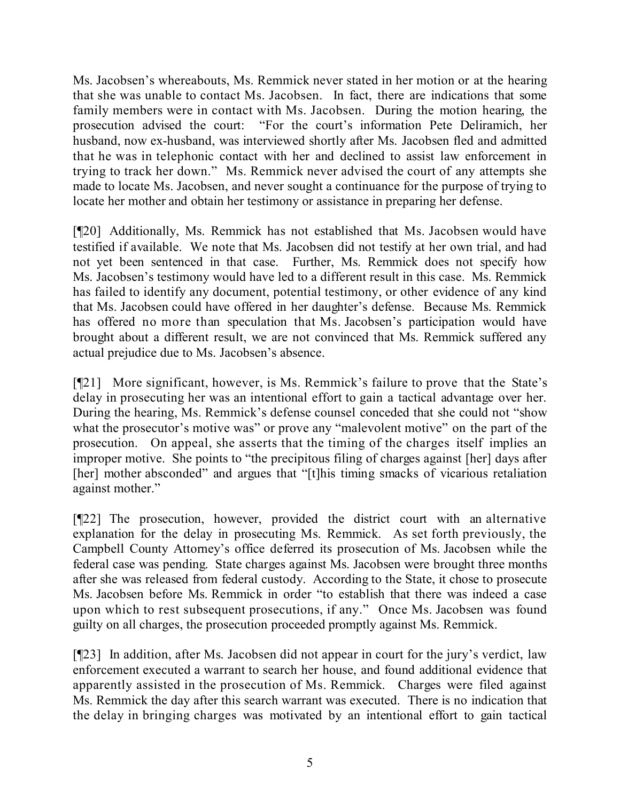Ms. Jacobsen's whereabouts, Ms. Remmick never stated in her motion or at the hearing that she was unable to contact Ms. Jacobsen. In fact, there are indications that some family members were in contact with Ms. Jacobsen. During the motion hearing, the prosecution advised the court: "For the court's information Pete Deliramich, her husband, now ex-husband, was interviewed shortly after Ms. Jacobsen fled and admitted that he was in telephonic contact with her and declined to assist law enforcement in trying to track her down." Ms. Remmick never advised the court of any attempts she made to locate Ms. Jacobsen, and never sought a continuance for the purpose of trying to locate her mother and obtain her testimony or assistance in preparing her defense.

[¶20] Additionally, Ms. Remmick has not established that Ms. Jacobsen would have testified if available. We note that Ms. Jacobsen did not testify at her own trial, and had not yet been sentenced in that case. Further, Ms. Remmick does not specify how Ms. Jacobsen's testimony would have led to a different result in this case. Ms. Remmick has failed to identify any document, potential testimony, or other evidence of any kind that Ms. Jacobsen could have offered in her daughter's defense. Because Ms. Remmick has offered no more than speculation that Ms. Jacobsen's participation would have brought about a different result, we are not convinced that Ms. Remmick suffered any actual prejudice due to Ms. Jacobsen's absence.

[¶21] More significant, however, is Ms. Remmick's failure to prove that the State's delay in prosecuting her was an intentional effort to gain a tactical advantage over her. During the hearing, Ms. Remmick's defense counsel conceded that she could not "show what the prosecutor's motive was" or prove any "malevolent motive" on the part of the prosecution. On appeal, she asserts that the timing of the charges itself implies an improper motive. She points to "the precipitous filing of charges against [her] days after [her] mother absconded" and argues that "[t]his timing smacks of vicarious retaliation against mother."

[¶22] The prosecution, however, provided the district court with an alternative explanation for the delay in prosecuting Ms. Remmick. As set forth previously, the Campbell County Attorney's office deferred its prosecution of Ms. Jacobsen while the federal case was pending. State charges against Ms. Jacobsen were brought three months after she was released from federal custody. According to the State, it chose to prosecute Ms. Jacobsen before Ms. Remmick in order "to establish that there was indeed a case upon which to rest subsequent prosecutions, if any." Once Ms. Jacobsen was found guilty on all charges, the prosecution proceeded promptly against Ms. Remmick.

[¶23] In addition, after Ms. Jacobsen did not appear in court for the jury's verdict, law enforcement executed a warrant to search her house, and found additional evidence that apparently assisted in the prosecution of Ms. Remmick. Charges were filed against Ms. Remmick the day after this search warrant was executed. There is no indication that the delay in bringing charges was motivated by an intentional effort to gain tactical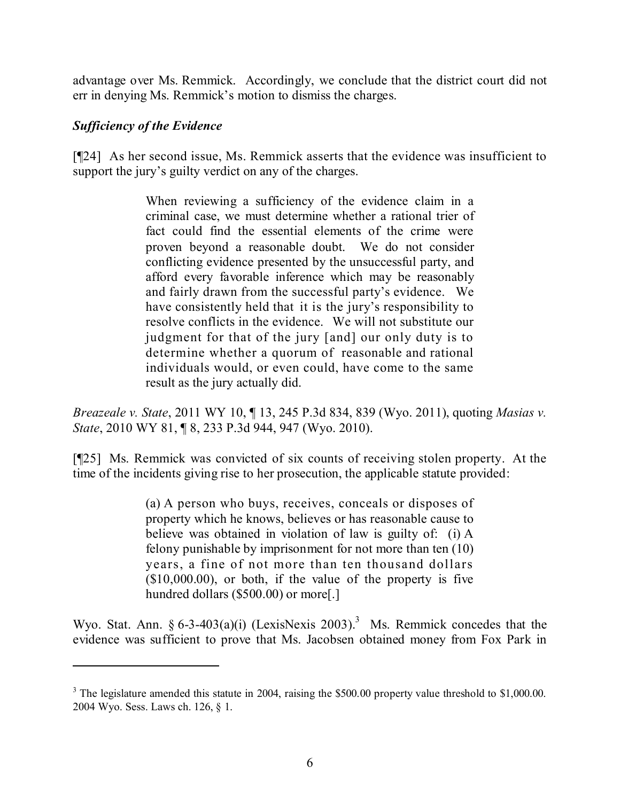advantage over Ms. Remmick. Accordingly, we conclude that the district court did not err in denying Ms. Remmick's motion to dismiss the charges.

## *Sufficiency of the Evidence*

[¶24] As her second issue, Ms. Remmick asserts that the evidence was insufficient to support the jury's guilty verdict on any of the charges.

> When reviewing a sufficiency of the evidence claim in a criminal case, we must determine whether a rational trier of fact could find the essential elements of the crime were proven beyond a reasonable doubt. We do not consider conflicting evidence presented by the unsuccessful party, and afford every favorable inference which may be reasonably and fairly drawn from the successful party's evidence. We have consistently held that it is the jury's responsibility to resolve conflicts in the evidence. We will not substitute our judgment for that of the jury [and] our only duty is to determine whether a quorum of reasonable and rational individuals would, or even could, have come to the same result as the jury actually did.

*Breazeale v. State*, 2011 WY 10, ¶ 13, 245 P.3d 834, 839 (Wyo. 2011), quoting *Masias v. State*, 2010 WY 81, ¶ 8, 233 P.3d 944, 947 (Wyo. 2010).

[¶25] Ms. Remmick was convicted of six counts of receiving stolen property. At the time of the incidents giving rise to her prosecution, the applicable statute provided:

> (a) A person who buys, receives, conceals or disposes of property which he knows, believes or has reasonable cause to believe was obtained in violation of law is guilty of: (i) A felony punishable by imprisonment for not more than ten (10) years, a fine of not more than ten thousand dollars  $(10,000,00)$ , or both, if the value of the property is five hundred dollars (\$500.00) or more[.]

Wyo. Stat. Ann. § 6-3-403(a)(i) (LexisNexis 2003).<sup>3</sup> Ms. Remmick concedes that the evidence was sufficient to prove that Ms. Jacobsen obtained money from Fox Park in

<sup>&</sup>lt;sup>3</sup> The legislature amended this statute in 2004, raising the \$500.00 property value threshold to \$1,000.00. 2004 Wyo. Sess. Laws ch. 126, § 1.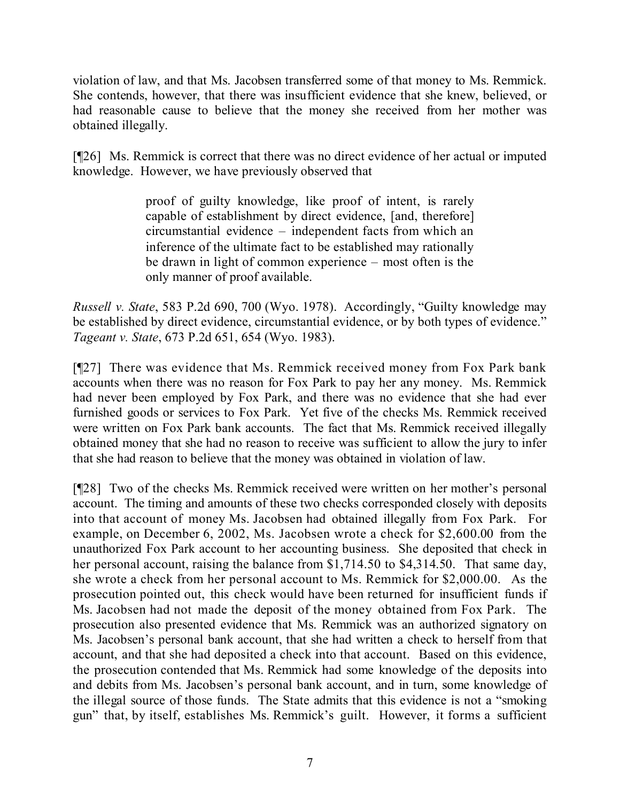violation of law, and that Ms. Jacobsen transferred some of that money to Ms. Remmick. She contends, however, that there was insufficient evidence that she knew, believed, or had reasonable cause to believe that the money she received from her mother was obtained illegally.

[¶26] Ms. Remmick is correct that there was no direct evidence of her actual or imputed knowledge. However, we have previously observed that

> proof of guilty knowledge, like proof of intent, is rarely capable of establishment by direct evidence, [and, therefore] circumstantial evidence – independent facts from which an inference of the ultimate fact to be established may rationally be drawn in light of common experience – most often is the only manner of proof available.

*Russell v. State*, 583 P.2d 690, 700 (Wyo. 1978). Accordingly, "Guilty knowledge may be established by direct evidence, circumstantial evidence, or by both types of evidence." *Tageant v. State*, 673 P.2d 651, 654 (Wyo. 1983).

[¶27] There was evidence that Ms. Remmick received money from Fox Park bank accounts when there was no reason for Fox Park to pay her any money. Ms. Remmick had never been employed by Fox Park, and there was no evidence that she had ever furnished goods or services to Fox Park. Yet five of the checks Ms. Remmick received were written on Fox Park bank accounts. The fact that Ms. Remmick received illegally obtained money that she had no reason to receive was sufficient to allow the jury to infer that she had reason to believe that the money was obtained in violation of law.

[¶28] Two of the checks Ms. Remmick received were written on her mother's personal account. The timing and amounts of these two checks corresponded closely with deposits into that account of money Ms. Jacobsen had obtained illegally from Fox Park. For example, on December 6, 2002, Ms. Jacobsen wrote a check for \$2,600.00 from the unauthorized Fox Park account to her accounting business. She deposited that check in her personal account, raising the balance from \$1,714.50 to \$4,314.50. That same day, she wrote a check from her personal account to Ms. Remmick for \$2,000.00. As the prosecution pointed out, this check would have been returned for insufficient funds if Ms. Jacobsen had not made the deposit of the money obtained from Fox Park. The prosecution also presented evidence that Ms. Remmick was an authorized signatory on Ms. Jacobsen's personal bank account, that she had written a check to herself from that account, and that she had deposited a check into that account. Based on this evidence, the prosecution contended that Ms. Remmick had some knowledge of the deposits into and debits from Ms. Jacobsen's personal bank account, and in turn, some knowledge of the illegal source of those funds. The State admits that this evidence is not a "smoking gun" that, by itself, establishes Ms. Remmick's guilt. However, it forms a sufficient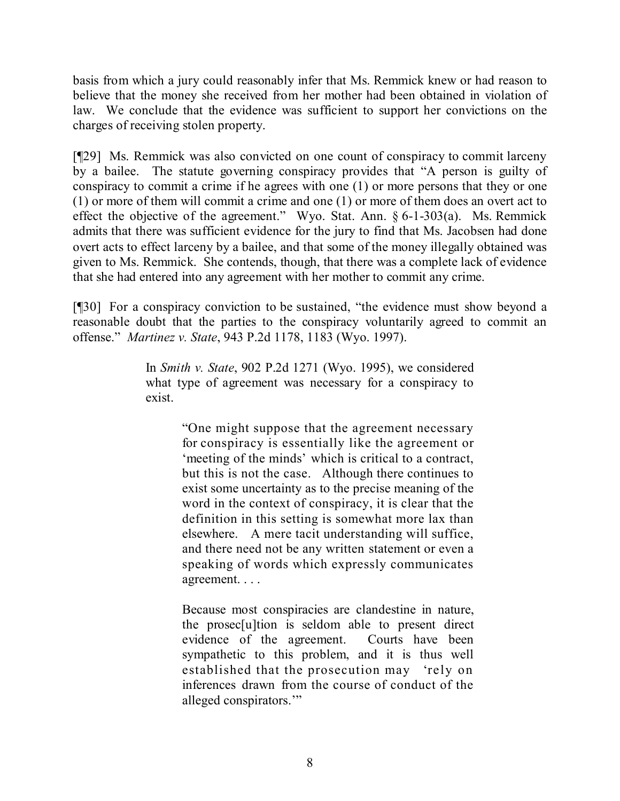basis from which a jury could reasonably infer that Ms. Remmick knew or had reason to believe that the money she received from her mother had been obtained in violation of law. We conclude that the evidence was sufficient to support her convictions on the charges of receiving stolen property.

[¶29] Ms. Remmick was also convicted on one count of conspiracy to commit larceny by a bailee. The statute governing conspiracy provides that "A person is guilty of conspiracy to commit a crime if he agrees with one (1) or more persons that they or one (1) or more of them will commit a crime and one (1) or more of them does an overt act to effect the objective of the agreement." Wyo. Stat. Ann. § 6-1-303(a). Ms. Remmick admits that there was sufficient evidence for the jury to find that Ms. Jacobsen had done overt acts to effect larceny by a bailee, and that some of the money illegally obtained was given to Ms. Remmick. She contends, though, that there was a complete lack of evidence that she had entered into any agreement with her mother to commit any crime.

[¶30] For a conspiracy conviction to be sustained, "the evidence must show beyond a reasonable doubt that the parties to the conspiracy voluntarily agreed to commit an offense." *Martinez v. State*, 943 P.2d 1178, 1183 (Wyo. 1997).

> In *Smith v. State*, 902 P.2d 1271 (Wyo. 1995), we considered what type of agreement was necessary for a conspiracy to exist.

> > "One might suppose that the agreement necessary for conspiracy is essentially like the agreement or 'meeting of the minds' which is critical to a contract, but this is not the case. Although there continues to exist some uncertainty as to the precise meaning of the word in the context of conspiracy, it is clear that the definition in this setting is somewhat more lax than elsewhere. A mere tacit understanding will suffice, and there need not be any written statement or even a speaking of words which expressly communicates agreement. . . .

> > Because most conspiracies are clandestine in nature, the prosec[u]tion is seldom able to present direct evidence of the agreement. Courts have been sympathetic to this problem, and it is thus well established that the prosecution may 'rely on inferences drawn from the course of conduct of the alleged conspirators.'"